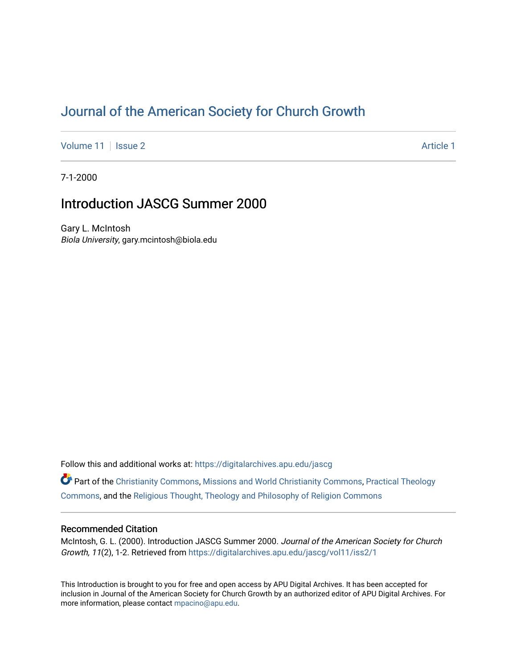# [Journal of the American Society for Church Growth](https://digitalarchives.apu.edu/jascg)

[Volume 11](https://digitalarchives.apu.edu/jascg/vol11) | [Issue 2](https://digitalarchives.apu.edu/jascg/vol11/iss2) Article 1

7-1-2000

## Introduction JASCG Summer 2000

Gary L. McIntosh Biola University, gary.mcintosh@biola.edu

Follow this and additional works at: [https://digitalarchives.apu.edu/jascg](https://digitalarchives.apu.edu/jascg?utm_source=digitalarchives.apu.edu%2Fjascg%2Fvol11%2Fiss2%2F1&utm_medium=PDF&utm_campaign=PDFCoverPages) 

Part of the [Christianity Commons,](http://network.bepress.com/hgg/discipline/1181?utm_source=digitalarchives.apu.edu%2Fjascg%2Fvol11%2Fiss2%2F1&utm_medium=PDF&utm_campaign=PDFCoverPages) [Missions and World Christianity Commons](http://network.bepress.com/hgg/discipline/1187?utm_source=digitalarchives.apu.edu%2Fjascg%2Fvol11%2Fiss2%2F1&utm_medium=PDF&utm_campaign=PDFCoverPages), [Practical Theology](http://network.bepress.com/hgg/discipline/1186?utm_source=digitalarchives.apu.edu%2Fjascg%2Fvol11%2Fiss2%2F1&utm_medium=PDF&utm_campaign=PDFCoverPages)  [Commons](http://network.bepress.com/hgg/discipline/1186?utm_source=digitalarchives.apu.edu%2Fjascg%2Fvol11%2Fiss2%2F1&utm_medium=PDF&utm_campaign=PDFCoverPages), and the [Religious Thought, Theology and Philosophy of Religion Commons](http://network.bepress.com/hgg/discipline/544?utm_source=digitalarchives.apu.edu%2Fjascg%2Fvol11%2Fiss2%2F1&utm_medium=PDF&utm_campaign=PDFCoverPages) 

### Recommended Citation

McIntosh, G. L. (2000). Introduction JASCG Summer 2000. Journal of the American Society for Church Growth, 11(2), 1-2. Retrieved from [https://digitalarchives.apu.edu/jascg/vol11/iss2/1](https://digitalarchives.apu.edu/jascg/vol11/iss2/1?utm_source=digitalarchives.apu.edu%2Fjascg%2Fvol11%2Fiss2%2F1&utm_medium=PDF&utm_campaign=PDFCoverPages) 

This Introduction is brought to you for free and open access by APU Digital Archives. It has been accepted for inclusion in Journal of the American Society for Church Growth by an authorized editor of APU Digital Archives. For more information, please contact [mpacino@apu.edu](mailto:mpacino@apu.edu).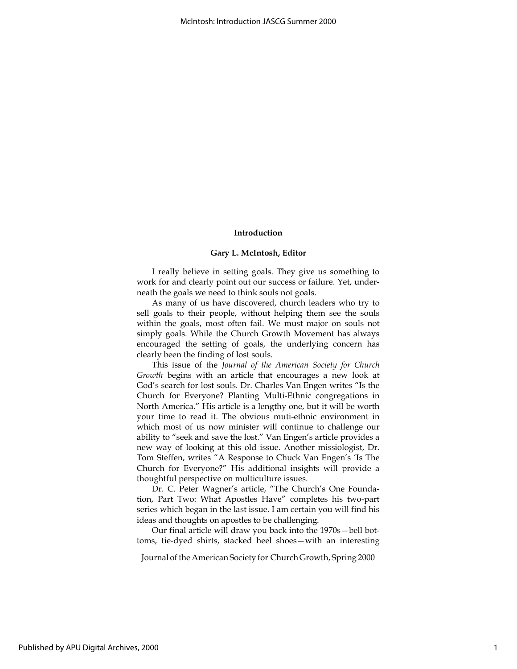#### Introduction

#### Gary L. McIntosh, Editor

I really believe in setting goals. They give us something to work for and clearly point out our success or failure. Yet, underneath the goals we need to think souls not goals.

As many of us have discovered, church leaders who try to sell goals to their people, without helping them see the souls within the goals, most often fail. We must major on souls not simply goals. While the Church Growth Movement has always encouraged the setting of goals, the underlying concern has clearly been the finding of lost souls.

This issue of the Journal of the American Society for Church Growth begins with an article that encourages a new look at God's search for lost souls. Dr. Charles Van Engen writes "Is the Church for Everyone? Planting Multi-Ethnic congregations in North America." His article is a lengthy one, but it will be worth your time to read it. The obvious muti-ethnic environment in which most of us now minister will continue to challenge our ability to "seek and save the lost." Van Engen's article provides a new way of looking at this old issue. Another missiologist, Dr. Tom Steffen, writes "A Response to Chuck Van Engen's 'Is The Church for Everyone?" His additional insights will provide a thoughtful perspective on multiculture issues.

Dr. C. Peter Wagner's article, "The Church's One Foundation, Part Two: What Apostles Have" completes his two-part series which began in the last issue. I am certain you will find his ideas and thoughts on apostles to be challenging.

Our final article will draw you back into the 1970s—bell bottoms, tie-dyed shirts, stacked heel shoes—with an interesting

Journal of the American Society for Church Growth, Spring 2000